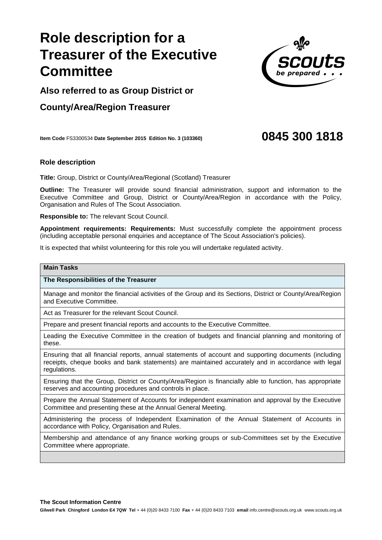# **Role description fo Treasurer of the Executive Committee**

**Also referred to as Group District or** 

## **County/Area/Region Treasurer**

**Item Code** FS3300534 **Date September 2015 Edition No. 3 (103360) 0845 300 1818**

### **Role description**

**Title:** Group, District or County/Area/Regional (Scotland) Treasurer

**Outline:** The Treasurer will provide sound financial administration, support and information to the Executive Committee and Group, District or County/Area/Region in accordance with the Policy, Organisation and Rules of The Scout Association.

**Responsible to:** The relevant Scout Council.

**Appointment requirements: Requirements:** Must successfully complete the appointment process (including acceptable personal enquiries and acceptance of The Scout Association's policies).

It is expected that whilst volunteering for this role you will undertake regulated activity.

#### **Main Tasks**

**The Responsibilities of the Treasurer**

Manage and monitor the financial activities of the Group and its Sections, District or County/Area/Region and Executive Committee.

Act as Treasurer for the relevant Scout Council.

Prepare and present financial reports and accounts to the Executive Committee.

Leading the Executive Committee in the creation of budgets and financial planning and monitoring of these.

Ensuring that all financial reports, annual statements of account and supporting documents (including receipts, cheque books and bank statements) are maintained accurately and in accordance with legal regulations.

Ensuring that the Group, District or County/Area/Region is financially able to function, has appropriate reserves and accounting procedures and controls in place.

Prepare the Annual Statement of Accounts for independent examination and approval by the Executive Committee and presenting these at the Annual General Meeting.

Administering the process of Independent Examination of the Annual Statement of Accounts in accordance with Policy, Organisation and Rules.

Membership and attendance of any finance working groups or sub-Committees set by the Executive Committee where appropriate.